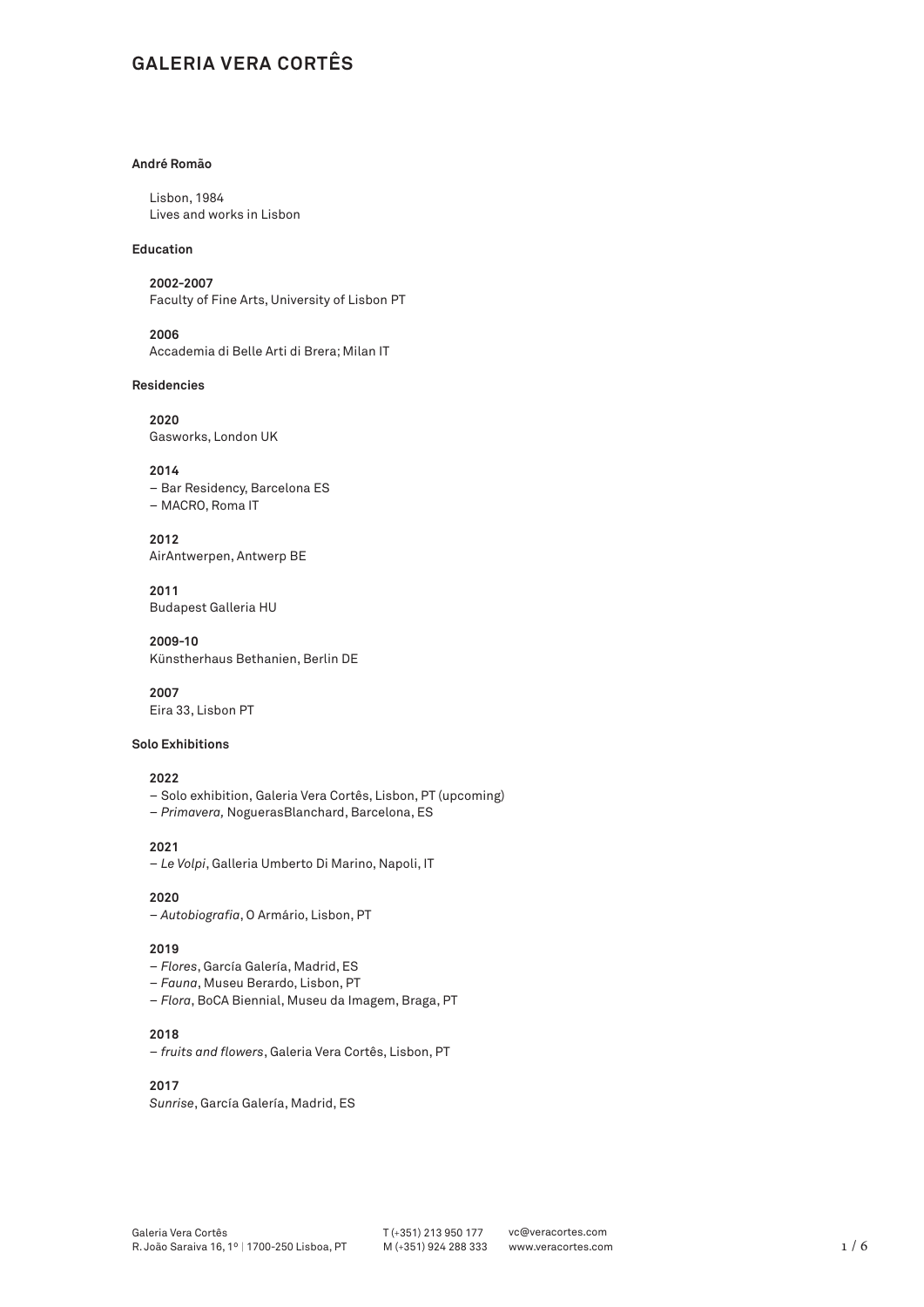# **GALERIA VERA CORTÊS**

## **André Romão**

Lisbon, 1984 Lives and works in Lisbon

## **Education**

**2002-2007** Faculty of Fine Arts, University of Lisbon PT

**2006** Accademia di Belle Arti di Brera; Milan IT

#### **Residencies**

**2020** Gasworks, London UK

## **2014**

– Bar Residency, Barcelona ES – MACRO, Roma IT

**2012** AirAntwerpen, Antwerp BE

**2011** Budapest Galleria HU

**2009-10** Künstherhaus Bethanien, Berlin DE

**2007** Eira 33, Lisbon PT

#### **Solo Exhibitions**

## **2022**

- Solo exhibition, Galeria Vera Cortês, Lisbon, PT (upcoming)
- *Primavera,* NoguerasBlanchard, Barcelona, ES

**2021** – *Le Volpi*, Galleria Umberto Di Marino, Napoli, IT

## **2020**

– *Autobiografia*, O Armário, Lisbon, PT

## **2019**

- *Flores*, García Galería, Madrid, ES
- *Fauna*, Museu Berardo, Lisbon, PT
- *Flora*, BoCA Biennial, Museu da Imagem, Braga, PT

## **2018**

– *fruits and flowers*, Galeria Vera Cortês, Lisbon, PT

## **2017**

*Sunrise*, García Galería, Madrid, ES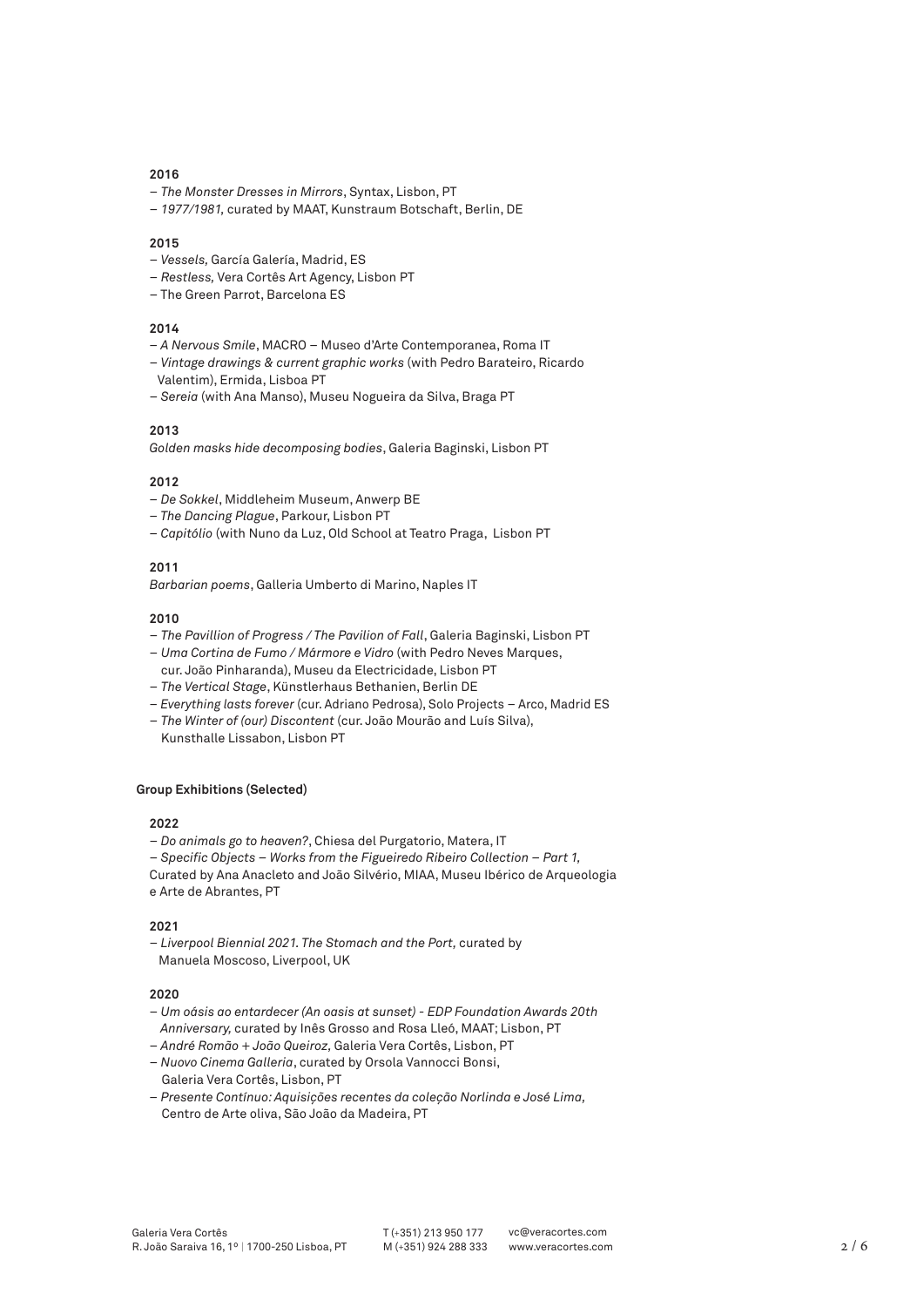- *The Monster Dresses in Mirrors*, Syntax, Lisbon, PT
- *1977/1981,* curated by MAAT, Kunstraum Botschaft, Berlin, DE

#### **2015**

- *Vessels,* García Galería, Madrid, ES
- *Restless,* Vera Cortês Art Agency, Lisbon PT
- The Green Parrot, Barcelona ES

## **2014**

- *A Nervous Smile*, MACRO Museo d'Arte Contemporanea, Roma IT
- *Vintage drawings & current graphic works* (with Pedro Barateiro, Ricardo
- Valentim), Ermida, Lisboa PT
- – *Sereia* (with Ana Manso), Museu Nogueira da Silva, Braga PT

## **2013**

*Golden masks hide decomposing bodies*, Galeria Baginski, Lisbon PT

## **2012**

- *De Sokkel*, Middleheim Museum, Anwerp BE
- *The Dancing Plague*, Parkour, Lisbon PT
- *Capitólio* (with Nuno da Luz, Old School at Teatro Praga, Lisbon PT

## **2011**

*Barbarian poems*, Galleria Umberto di Marino, Naples IT

#### **2010**

- *The Pavillion of Progress / The Pavilion of Fall*, Galeria Baginski, Lisbon PT
- *Uma Cortina de Fumo / Mármore e Vidro* (with Pedro Neves Marques, cur. João Pinharanda), Museu da Electricidade, Lisbon PT
- *The Vertical Stage*, Künstlerhaus Bethanien, Berlin DE
- *Everything lasts forever* (cur. Adriano Pedrosa), Solo Projects Arco, Madrid ES
- *The Winter of (our) Discontent* (cur. João Mourão and Luís Silva),
- Kunsthalle Lissabon, Lisbon PT

## **Group Exhibitions (Selected)**

#### **2022**

- – *Do animals go to heaven?*, Chiesa del Purgatorio, Matera, IT
- – *Specific Objects Works from the Figueiredo Ribeiro Collection Part 1,*

Curated by Ana Anacleto and João Silvério, MIAA, Museu Ibérico de Arqueologia e Arte de Abrantes, PT

#### **2021**

– *Liverpool Biennial 2021. The Stomach and the Port,* curated by Manuela Moscoso, Liverpool, UK

#### **2020**

- – *Um oásis ao entardecer (An oasis at sunset) EDP Foundation Awards 20th Anniversary,* curated by Inês Grosso and Rosa Lleó, MAAT; Lisbon, PT
- – *André Romão + João Queiroz,* Galeria Vera Cortês, Lisbon, PT
- – *Nuovo Cinema Galleria*, curated by Orsola Vannocci Bonsi, Galeria Vera Cortês, Lisbon, PT
- *Presente Contínuo: Aquisições recentes da coleção Norlinda e José Lima,*  Centro de Arte oliva, São João da Madeira, PT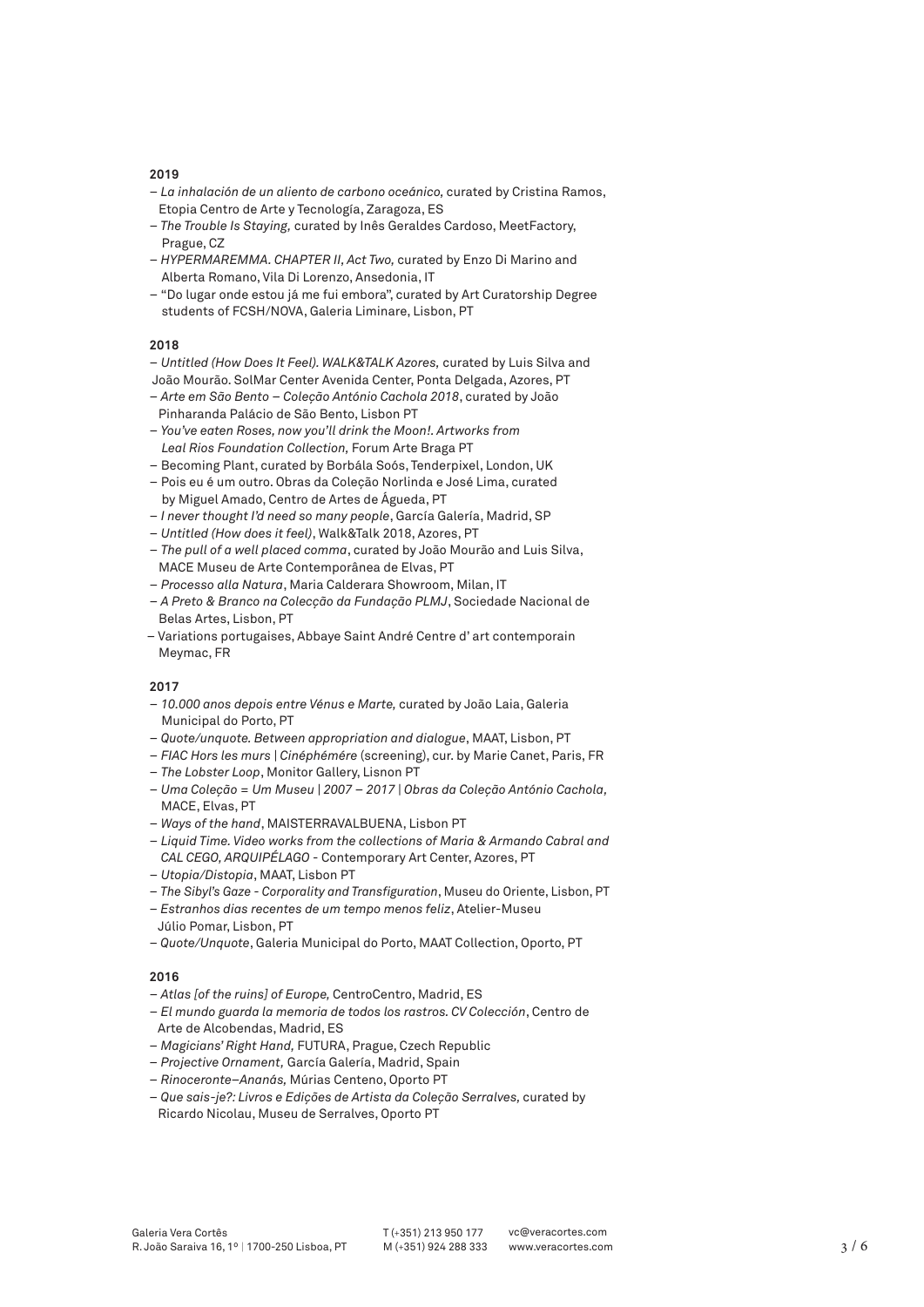- – *La inhalación de un aliento de carbono oceánico,* curated by Cristina Ramos, Etopia Centro de Arte y Tecnología, Zaragoza, ES
- – *The Trouble Is Staying,* curated by Inês Geraldes Cardoso, MeetFactory, Prague, CZ
- – *HYPERMAREMMA. CHAPTER II, Act Two,* curated by Enzo Di Marino and Alberta Romano, Vila Di Lorenzo, Ansedonia, IT
- "Do lugar onde estou já me fui embora", curated by Art Curatorship Degree students of FCSH/NOVA, Galeria Liminare, Lisbon, PT

## **2018**

- *Untitled (How Does It Feel). WALK&TALK Azores,* curated by Luis Silva and
- João Mourão. SolMar Center Avenida Center, Ponta Delgada, Azores, PT – *Arte em São Bento – Coleção António Cachola 2018*, curated by João
- Pinharanda Palácio de São Bento, Lisbon PT
- *You've eaten Roses, now you'll drink the Moon!. Artworks from Leal Rios Foundation Collection,* Forum Arte Braga PT
- Becoming Plant, curated by Borbála Soós, Tenderpixel, London, UK
- Pois eu é um outro. Obras da Coleção Norlinda e José Lima, curated by Miguel Amado, Centro de Artes de Águeda, PT
- *I never thought I'd need so many people*, García Galería, Madrid, SP
- *Untitled (How does it feel)*, Walk&Talk 2018, Azores, PT
- *The pull of a well placed comma*, curated by João Mourão and Luis Silva, MACE Museu de Arte Contemporânea de Elvas, PT
- *Processo alla Natura*, Maria Calderara Showroom, Milan, IT
- *A Preto & Branco na Colecção da Fundação PLMJ*, Sociedade Nacional de Belas Artes, Lisbon, PT
- Variations portugaises, Abbaye Saint André Centre d' art contemporain Meymac, FR

#### **2017**

- *10.000 anos depois entre Vénus e Marte,* curated by João Laia, Galeria Municipal do Porto, PT
- *Quote/unquote. Between appropriation and dialogue*, MAAT, Lisbon, PT
- *FIAC Hors les murs | Cinéphémére* (screening), cur. by Marie Canet, Paris, FR
- *The Lobster Loop*, Monitor Gallery, Lisnon PT
- *Uma Coleção = Um Museu | 2007 2017 | Obras da Coleção António Cachola,* MACE, Elvas, PT
- *Ways of the hand*, MAISTERRAVALBUENA, Lisbon PT
- *Liquid Time. Video works from the collections of Maria & Armando Cabral and CAL CEGO, ARQUIPÉLAGO* - Contemporary Art Center, Azores, PT
- *Utopia/Distopia*, MAAT, Lisbon PT
- *The Sibyl's Gaze Corporality and Transfiguration*, Museu do Oriente, Lisbon, PT
- *Estranhos dias recentes de um tempo menos feliz*, Atelier-Museu
- Júlio Pomar, Lisbon, PT
- *Quote/Unquote*, Galeria Municipal do Porto, MAAT Collection, Oporto, PT

## **2016**

- *Atlas [of the ruins] of Europe,* CentroCentro, Madrid, ES
- – *El mundo guarda la memoria de todos los rastros. CV Colección*, Centro de Arte de Alcobendas, Madrid, ES
- *Magicians' Right Hand,* FUTURA, Prague, Czech Republic
- *Projective Ornament,* García Galería, Madrid, Spain
- *Rinoceronte–Ananás,* Múrias Centeno, Oporto PT
- *Que sais-je?: Livros e Edições de Artista da Coleção Serralves,* curated by Ricardo Nicolau, Museu de Serralves, Oporto PT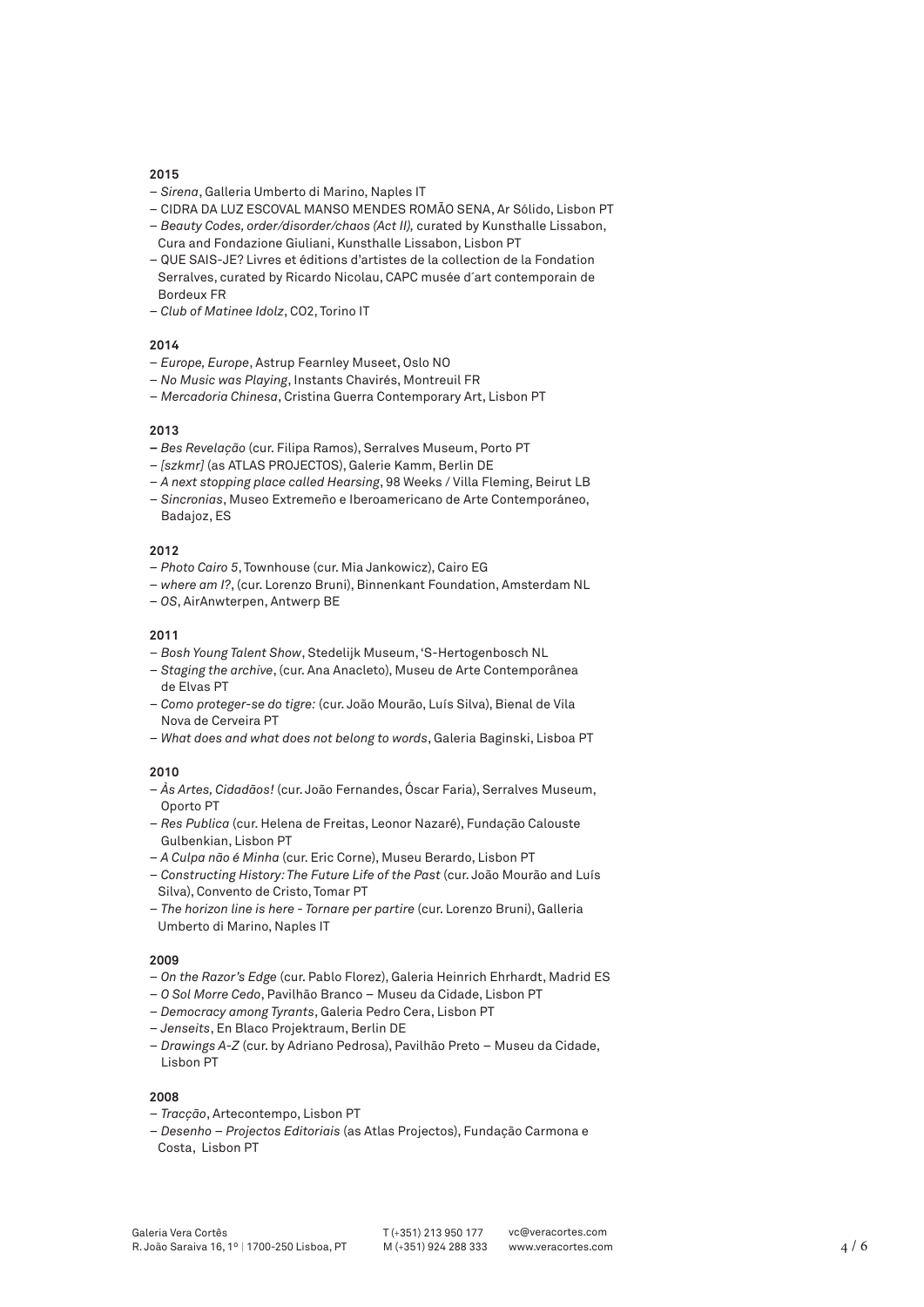- *Sirena*, Galleria Umberto di Marino, Naples IT
- CIDRA DA LUZ ESCOVAL MANSO MENDES ROMÃO SENA, Ar Sólido, Lisbon PT
- *Beauty Codes, order/disorder/chaos (Act II),* curated by Kunsthalle Lissabon, Cura and Fondazione Giuliani, Kunsthalle Lissabon, Lisbon PT
- QUE SAIS-JE? Livres et éditions d'artistes de la collection de la Fondation Serralves, curated by Ricardo Nicolau, CAPC musée d´art contemporain de Bordeux FR
- *Club of Matinee Idolz*, CO2, Torino IT

## **2014**

- *Europe, Europe*, Astrup Fearnley Museet, Oslo NO
- *No Music was Playing*, Instants Chavirés, Montreuil FR
- *Mercadoria Chinesa*, Cristina Guerra Contemporary Art, Lisbon PT

## **2013**

- *Bes Revelação* (cur. Filipa Ramos), Serralves Museum, Porto PT
- – *[szkmr]* (as ATLAS PROJECTOS), Galerie Kamm, Berlin DE
- *A next stopping place called Hearsing*, 98 Weeks / Villa Fleming, Beirut LB
- *Sincronias*, Museo Extremeño e Iberoamericano de Arte Contemporáneo, Badajoz, ES

## **2012**

- *Photo Cairo 5*, Townhouse (cur. Mia Jankowicz), Cairo EG
- *where am I?*, (cur. Lorenzo Bruni), Binnenkant Foundation, Amsterdam NL
- *OS*, AirAnwterpen, Antwerp BE

#### **2011**

- *Bosh Young Talent Show*, Stedelijk Museum, 'S-Hertogenbosch NL
- *Staging the archive*, (cur. Ana Anacleto), Museu de Arte Contemporânea de Elvas PT
- *Como proteger-se do tigre:* (cur. João Mourão, Luís Silva), Bienal de Vila Nova de Cerveira PT
- *What does and what does not belong to words*, Galeria Baginski, Lisboa PT

#### **2010**

- *Às Artes, Cidadãos!* (cur. João Fernandes, Óscar Faria), Serralves Museum, Oporto PT
- *Res Publica* (cur. Helena de Freitas, Leonor Nazaré), Fundação Calouste Gulbenkian, Lisbon PT
- *A Culpa não é Minha* (cur. Eric Corne), Museu Berardo, Lisbon PT
- *Constructing History: The Future Life of the Past* (cur. João Mourão and Luís Silva), Convento de Cristo, Tomar PT
- *The horizon line is here Tornare per partire* (cur. Lorenzo Bruni), Galleria Umberto di Marino, Naples IT

#### **2009**

- *On the Razor's Edge* (cur. Pablo Florez), Galeria Heinrich Ehrhardt, Madrid ES
- *O Sol Morre Cedo*, Pavilhão Branco Museu da Cidade, Lisbon PT
- – *Democracy among Tyrants*, Galeria Pedro Cera, Lisbon PT
- *Jenseits*, En Blaco Projektraum, Berlin DE
- *Drawings A-Z* (cur. by Adriano Pedrosa), Pavilhão Preto Museu da Cidade, Lisbon PT

#### **2008**

- *Tracção*, Artecontempo, Lisbon PT
- *Desenho Projectos Editoriais* (as Atlas Projectos), Fundação Carmona e Costa, Lisbon PT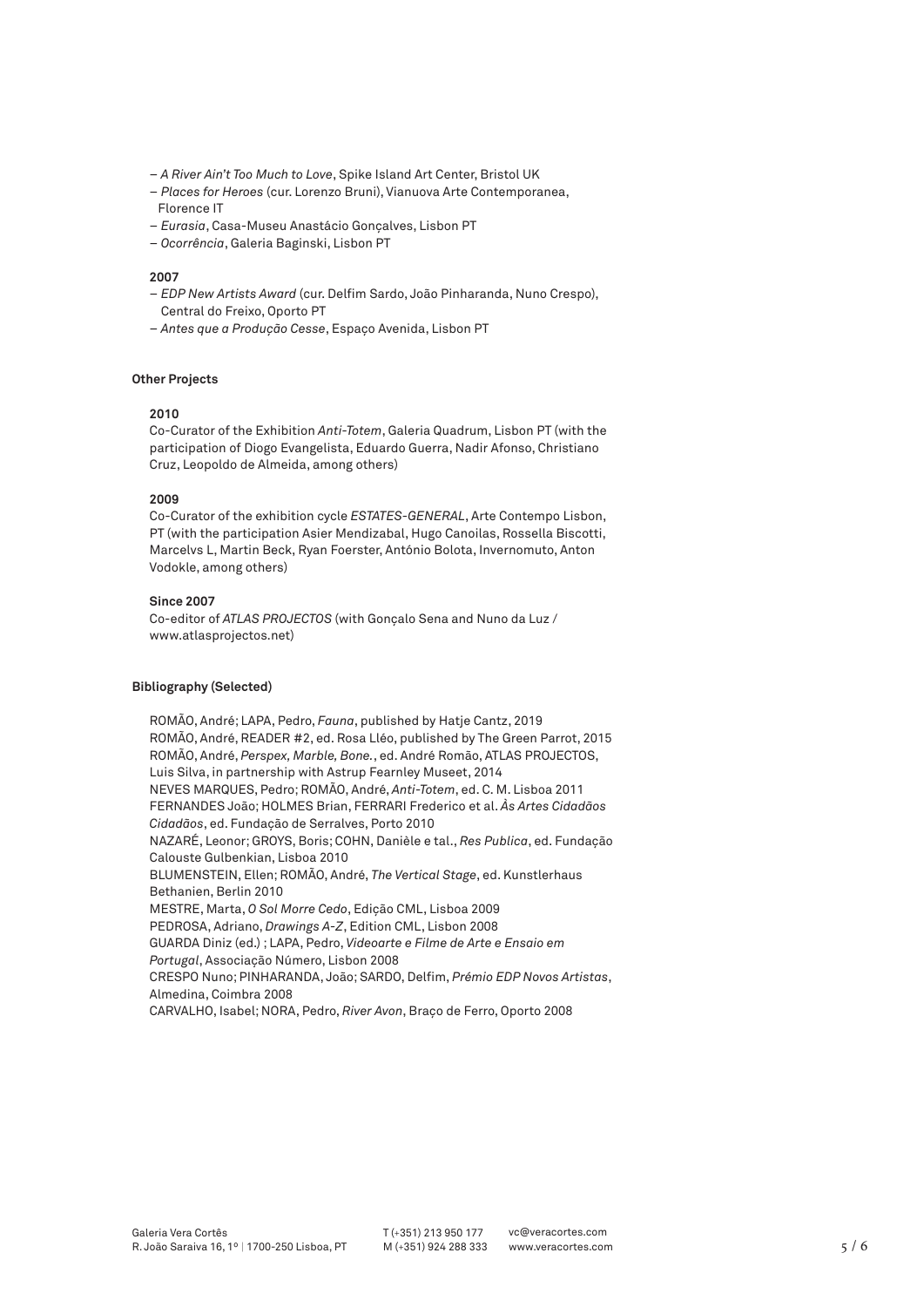- *A River Ain't Too Much to Love*, Spike Island Art Center, Bristol UK
- *Places for Heroes* (cur. Lorenzo Bruni), Vianuova Arte Contemporanea, Florence IT
- *Eurasia*, Casa-Museu Anastácio Gonçalves, Lisbon PT
- *Ocorrência*, Galeria Baginski, Lisbon PT

- *EDP New Artists Award* (cur. Delfim Sardo, João Pinharanda, Nuno Crespo), Central do Freixo, Oporto PT
- *Antes que a Produção Cesse*, Espaço Avenida, Lisbon PT

### **Other Projects**

#### **2010**

Co-Curator of the Exhibition *Anti-Totem*, Galeria Quadrum, Lisbon PT (with the participation of Diogo Evangelista, Eduardo Guerra, Nadir Afonso, Christiano Cruz, Leopoldo de Almeida, among others)

#### **2009**

Co-Curator of the exhibition cycle *ESTATES-GENERAL*, Arte Contempo Lisbon, PT (with the participation Asier Mendizabal, Hugo Canoilas, Rossella Biscotti, Marcelvs L, Martin Beck, Ryan Foerster, António Bolota, Invernomuto, Anton Vodokle, among others)

#### **Since 2007**

Co-editor of *ATLAS PROJECTOS* (with Gonçalo Sena and Nuno da Luz / www.atlasprojectos.net)

#### **Bibliography (Selected)**

ROMÃO, André; LAPA, Pedro, *Fauna*, published by Hatje Cantz, 2019 ROMÃO, André, READER #2, ed. Rosa Lléo, published by The Green Parrot, 2015 ROMÃO, André, *Perspex, Marble, Bone.*, ed. André Romão, ATLAS PROJECTOS, Luis Silva, in partnership with Astrup Fearnley Museet, 2014 NEVES MARQUES, Pedro; ROMÃO, André, *Anti-Totem*, ed. C. M. Lisboa 2011 FERNANDES João; HOLMES Brian, FERRARI Frederico et al. *Às Artes Cidadãos Cidadãos*, ed. Fundação de Serralves, Porto 2010 NAZARÉ, Leonor; GROYS, Boris; COHN, Danièle e tal., *Res Publica*, ed. Fundação Calouste Gulbenkian, Lisboa 2010 BLUMENSTEIN, Ellen; ROMÃO, André, *The Vertical Stage*, ed. Kunstlerhaus Bethanien, Berlin 2010 MESTRE, Marta, *O Sol Morre Cedo*, Edição CML, Lisboa 2009 PEDROSA, Adriano, *Drawings A-Z*, Edition CML, Lisbon 2008 GUARDA Diniz (ed.) ; LAPA, Pedro, *Videoarte e Filme de Arte e Ensaio em Portugal*, Associação Número, Lisbon 2008 CRESPO Nuno; PINHARANDA, João; SARDO, Delfim, *Prémio EDP Novos Artistas*, Almedina, Coimbra 2008 CARVALHO, Isabel; NORA, Pedro, *River Avon*, Braço de Ferro, Oporto 2008